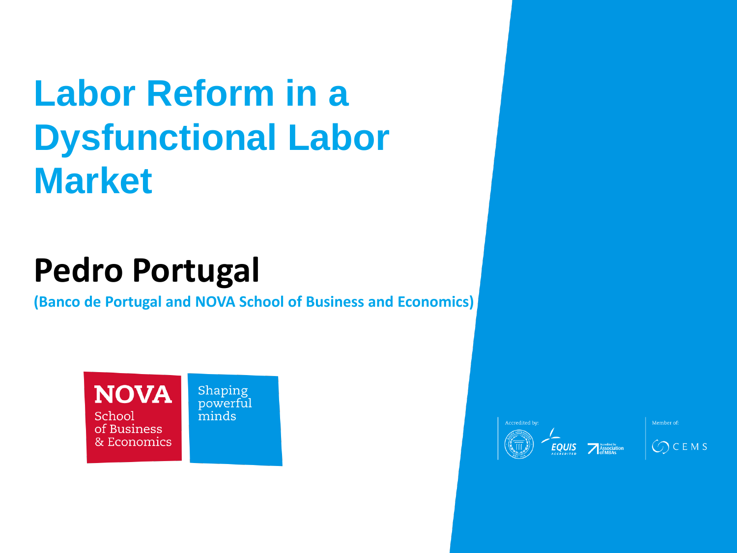# **Labor Reform in a Dysfunctional Labor Market**

# **Pedro Portugal**

**(Banco de Portugal and NOVA School of Business and Economics)**









Member of: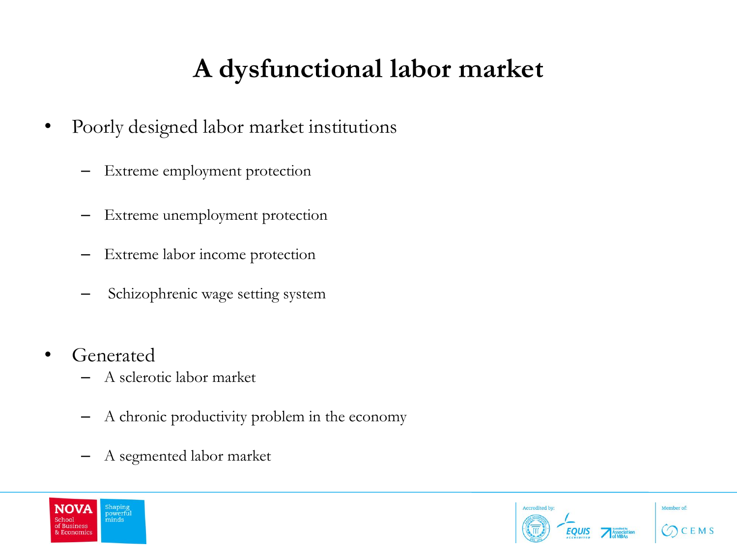#### **A dysfunctional labor market**

- Poorly designed labor market institutions
	- Extreme employment protection
	- Extreme unemployment protection
	- Extreme labor income protection
	- Schizophrenic wage setting system
- Generated
	- A sclerotic labor market
	- A chronic productivity problem in the economy
	- A segmented labor market



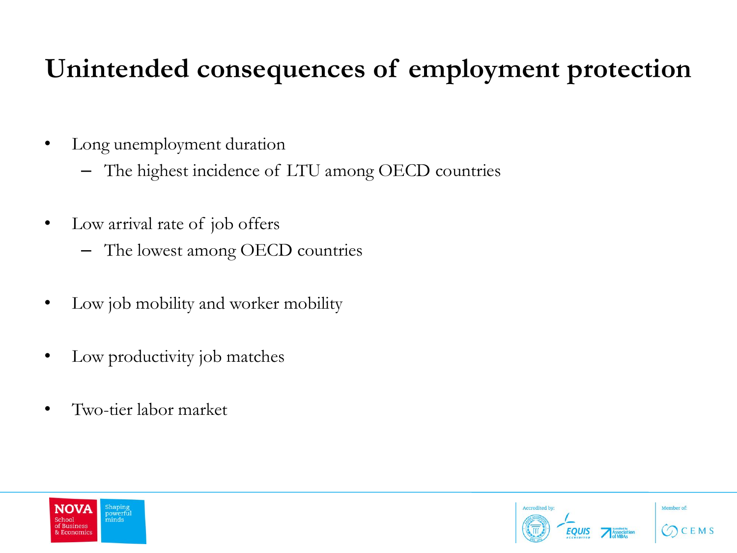#### **Unintended consequences of employment protection**

- Long unemployment duration
	- The highest incidence of LTU among OECD countries
- Low arrival rate of job offers
	- The lowest among OECD countries
- Low job mobility and worker mobility
- Low productivity job matches
- Two-tier labor market



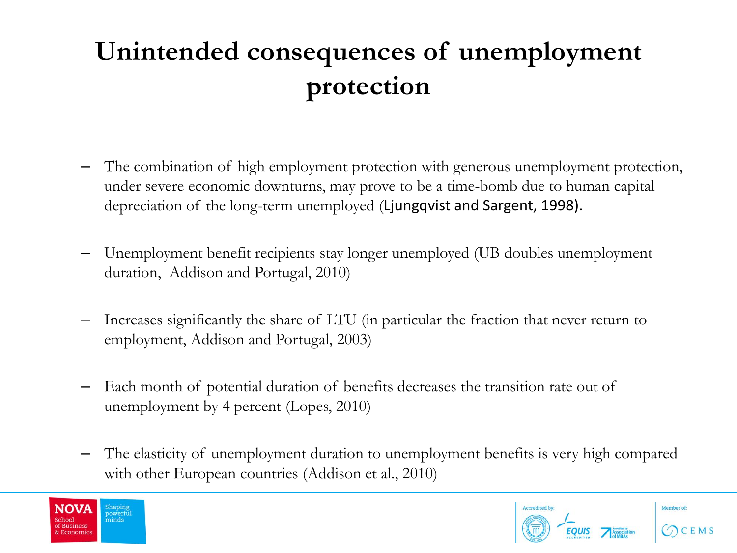## **Unintended consequences of unemployment protection**

- The combination of high employment protection with generous unemployment protection, under severe economic downturns, may prove to be a time-bomb due to human capital depreciation of the long-term unemployed (Ljungqvist and Sargent, 1998).
- Unemployment benefit recipients stay longer unemployed (UB doubles unemployment duration, Addison and Portugal, 2010)
- Increases significantly the share of LTU (in particular the fraction that never return to employment, Addison and Portugal, 2003)
- Each month of potential duration of benefits decreases the transition rate out of unemployment by 4 percent (Lopes, 2010)
- The elasticity of unemployment duration to unemployment benefits is very high compared with other European countries (Addison et al., 2010)



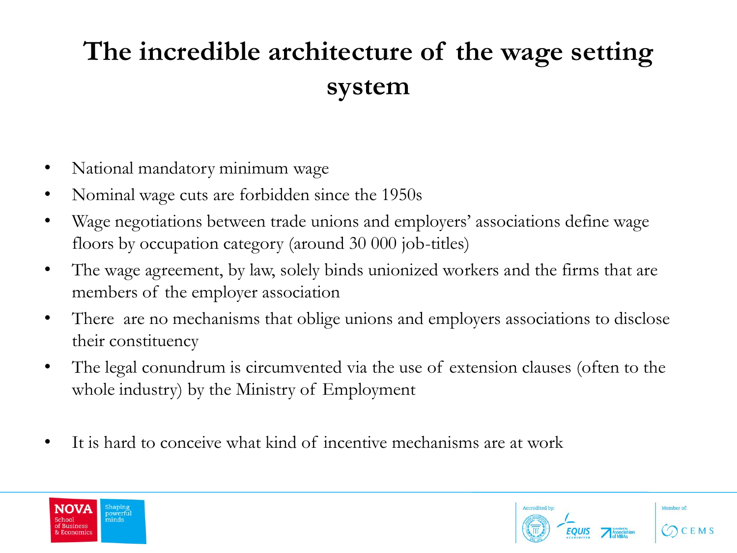## **The incredible architecture of the wage setting system**

- National mandatory minimum wage
- Nominal wage cuts are forbidden since the 1950s
- Wage negotiations between trade unions and employers' associations define wage floors by occupation category (around 30 000 job-titles)
- The wage agreement, by law, solely binds unionized workers and the firms that are members of the employer association
- There are no mechanisms that oblige unions and employers associations to disclose their constituency
- The legal conundrum is circumvented via the use of extension clauses (often to the whole industry) by the Ministry of Employment
- It is hard to conceive what kind of incentive mechanisms are at work



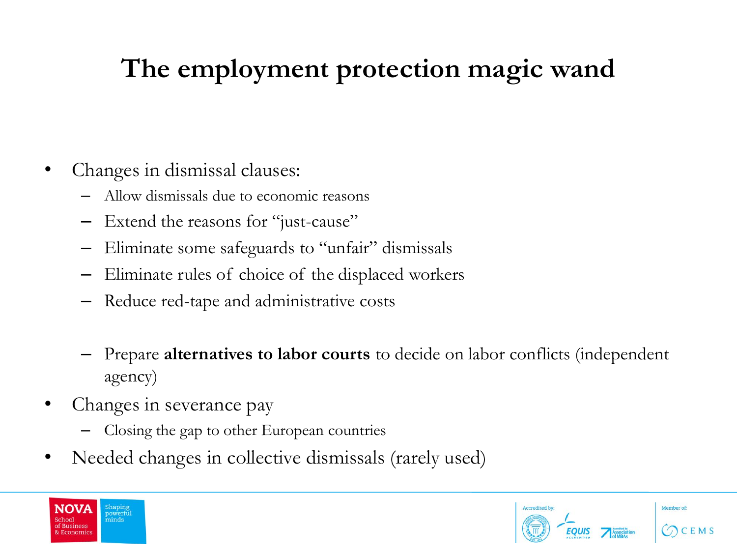### **The employment protection magic wand**

#### • Changes in dismissal clauses:

- Allow dismissals due to economic reasons
- Extend the reasons for "just-cause"
- Eliminate some safeguards to "unfair" dismissals
- Eliminate rules of choice of the displaced workers
- Reduce red-tape and administrative costs
- Prepare **alternatives to labor courts** to decide on labor conflicts (independent agency)
- Changes in severance pay
	- Closing the gap to other European countries
- Needed changes in collective dismissals (rarely used)



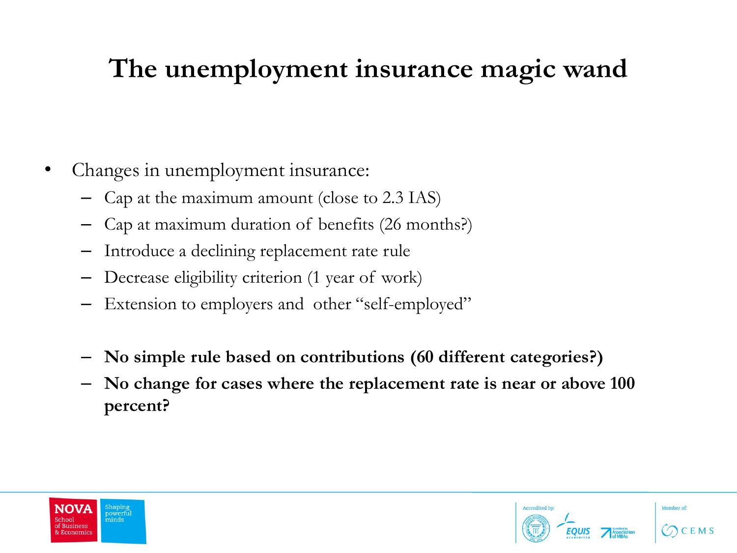### **The unemployment insurance magic wand**

- Changes in unemployment insurance:
	- Cap at the maximum amount (close to 2.3 IAS)
	- Cap at maximum duration of benefits (26 months?)
	- Introduce a declining replacement rate rule
	- Decrease eligibility criterion (1 year of work)
	- Extension to employers and other "self-employed"
	- **No simple rule based on contributions (60 different categories?)**
	- **No change for cases where the replacement rate is near or above 100 percent?**



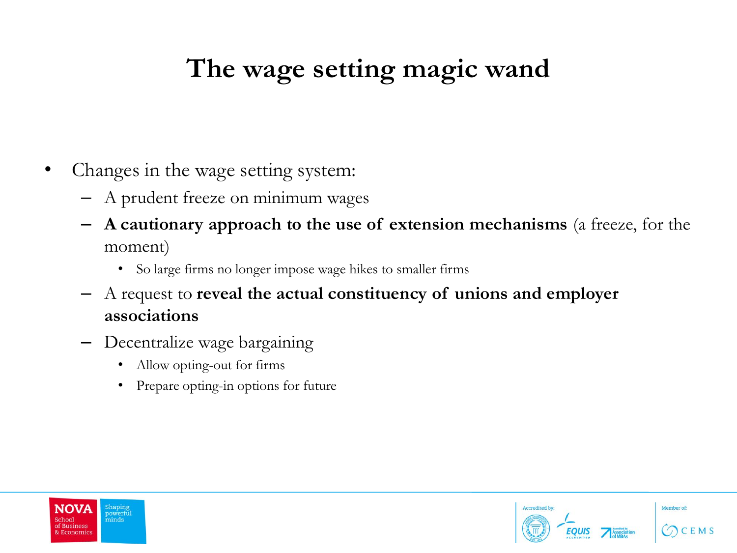#### **The wage setting magic wand**

- Changes in the wage setting system:
	- A prudent freeze on minimum wages
	- **A cautionary approach to the use of extension mechanisms** (a freeze, for the moment)

**Accredited** by

Member of:

- So large firms no longer impose wage hikes to smaller firms
- A request to **reveal the actual constituency of unions and employer associations**
- Decentralize wage bargaining
	- Allow opting-out for firms
	- Prepare opting-in options for future

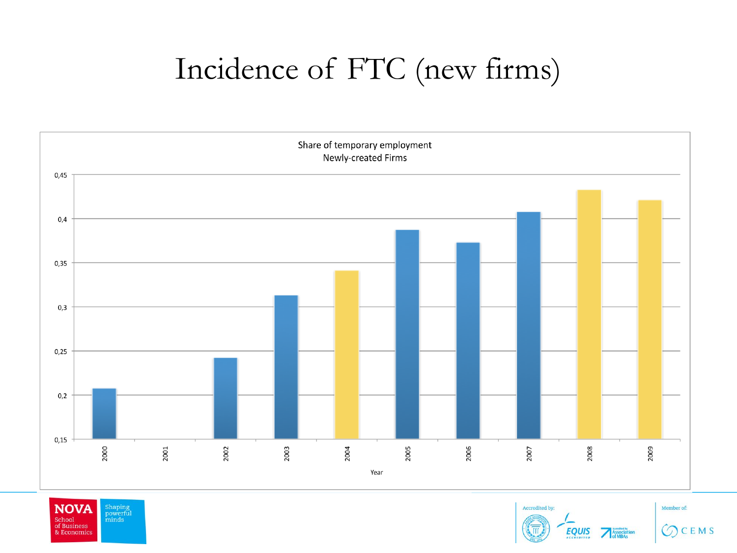## Incidence of FTC (new firms)







Member of:  $\bigcirc$  CEMS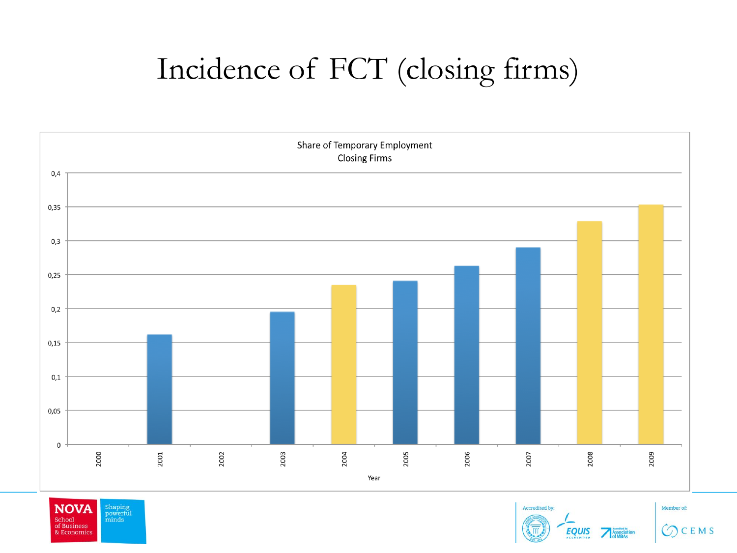## Incidence of FCT (closing firms)







Member of:  $\bigcirc$  CEMS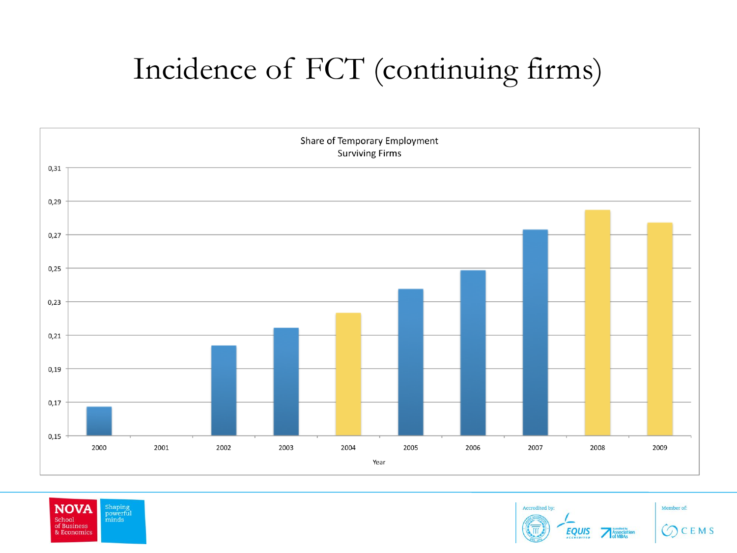## Incidence of FCT (continuing firms)





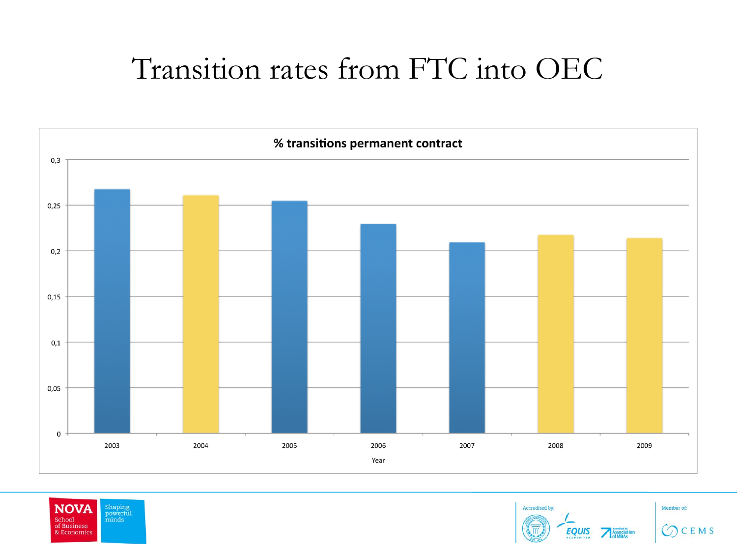## Transition rates from FTC into OEC





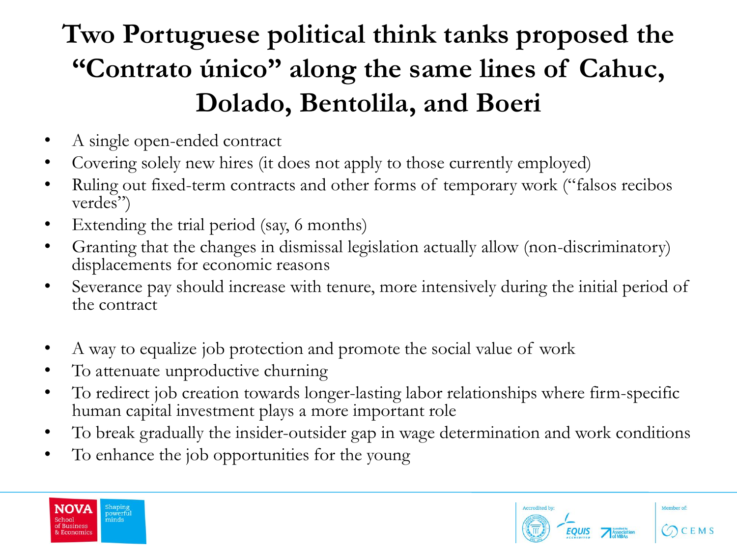## **Two Portuguese political think tanks proposed the "Contrato único" along the same lines of Cahuc, Dolado, Bentolila, and Boeri**

- A single open-ended contract
- Covering solely new hires (it does not apply to those currently employed)
- Ruling out fixed-term contracts and other forms of temporary work ("falsos recibos verdes")
- Extending the trial period (say, 6 months)
- Granting that the changes in dismissal legislation actually allow (non-discriminatory) displacements for economic reasons
- Severance pay should increase with tenure, more intensively during the initial period of the contract
- A way to equalize job protection and promote the social value of work
- To attenuate unproductive churning
- To redirect job creation towards longer-lasting labor relationships where firm-specific human capital investment plays a more important role
- To break gradually the insider-outsider gap in wage determination and work conditions
- To enhance the job opportunities for the young



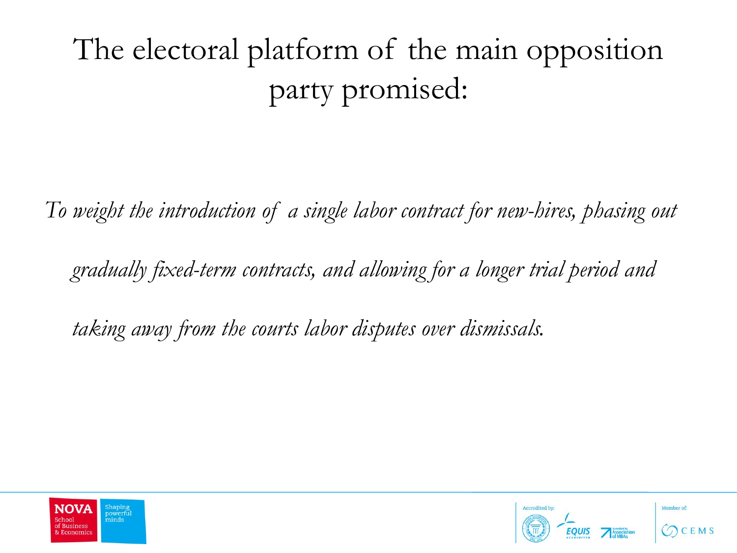# The electoral platform of the main opposition party promised:

*To weight the introduction of a single labor contract for new-hires, phasing out* 

*gradually fixed-term contracts, and allowing for a longer trial period and* 

*taking away from the courts labor disputes over dismissals.*



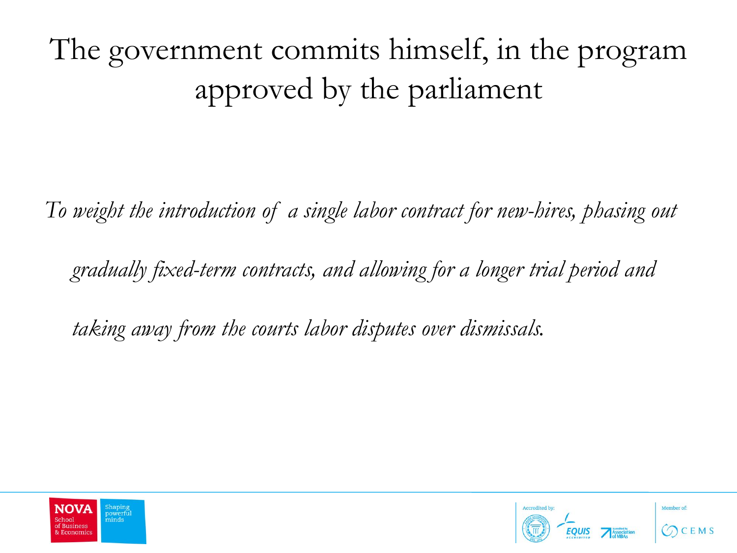# The government commits himself, in the program approved by the parliament

*To weight the introduction of a single labor contract for new-hires, phasing out* 

*gradually fixed-term contracts, and allowing for a longer trial period and* 

*taking away from the courts labor disputes over dismissals.*



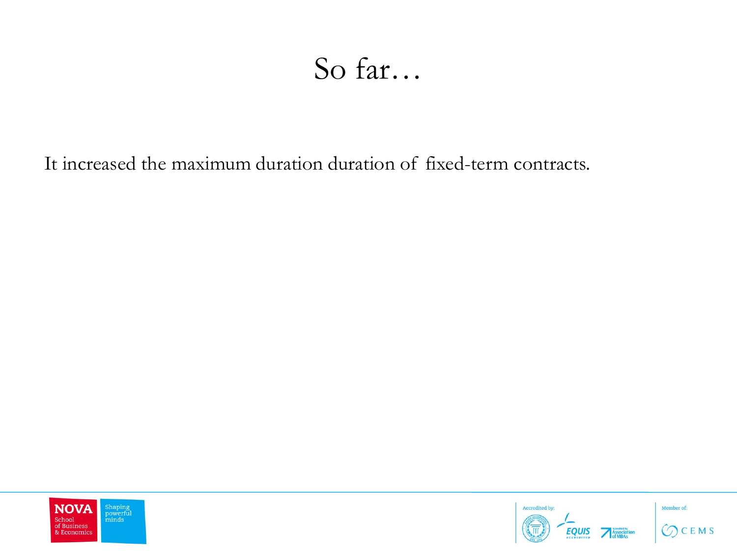#### So far…

It increased the maximum duration duration of fixed-term contracts.



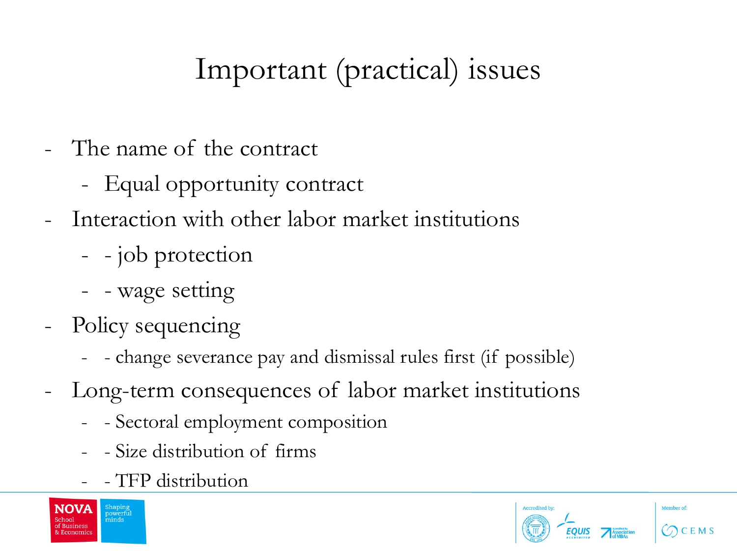## Important (practical) issues

- The name of the contract
	- Equal opportunity contract
- Interaction with other labor market institutions
	- - job protection
	- - wage setting
- Policy sequencing
	- - change severance pay and dismissal rules first (if possible)
- Long-term consequences of labor market institutions
	- - Sectoral employment composition
	- - Size distribution of firms
	- TFP distribution



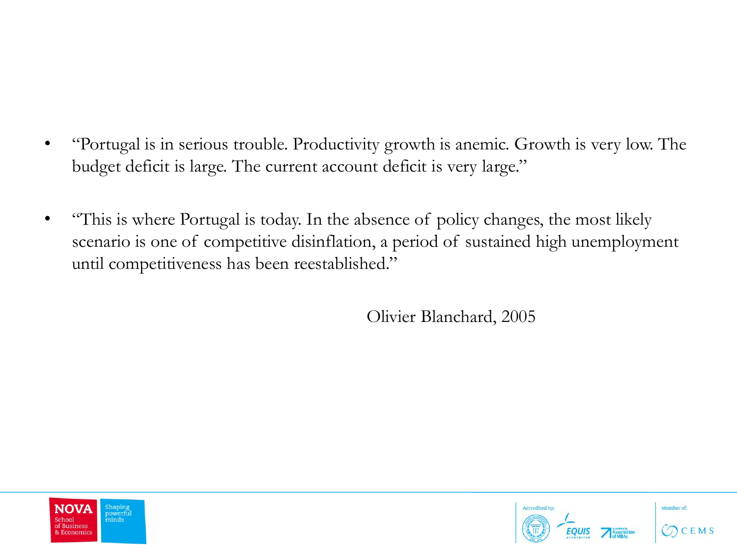- "Portugal is in serious trouble. Productivity growth is anemic. Growth is very low. The budget deficit is large. The current account deficit is very large."
- "This is where Portugal is today. In the absence of policy changes, the most likely scenario is one of competitive disinflation, a period of sustained high unemployment until competitiveness has been reestablished."

Olivier Blanchard, 2005



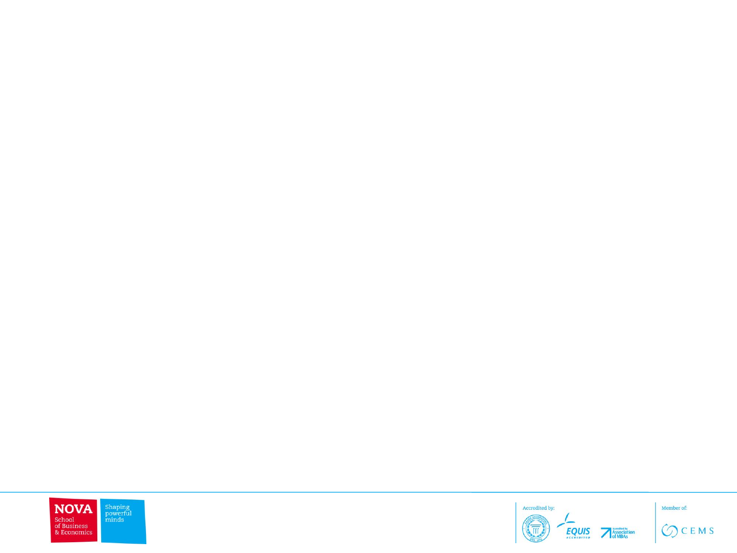

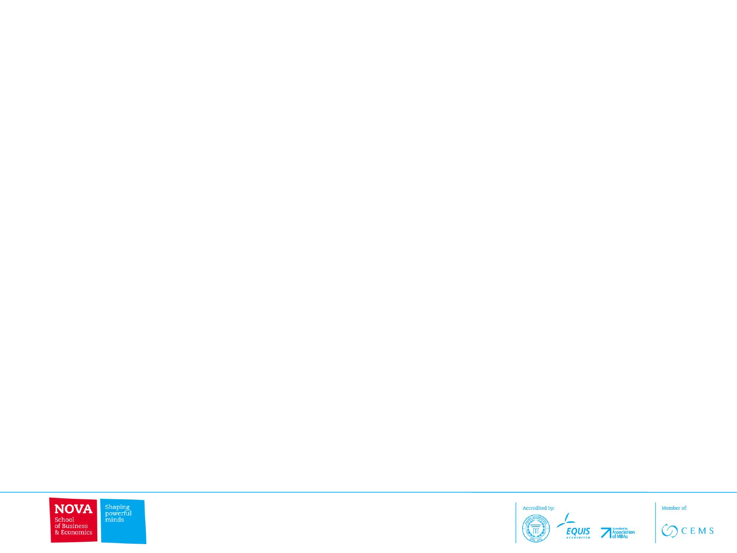

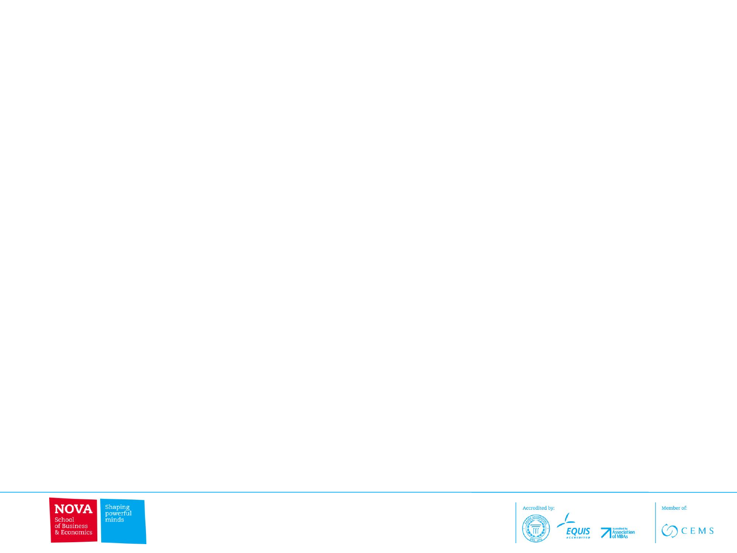

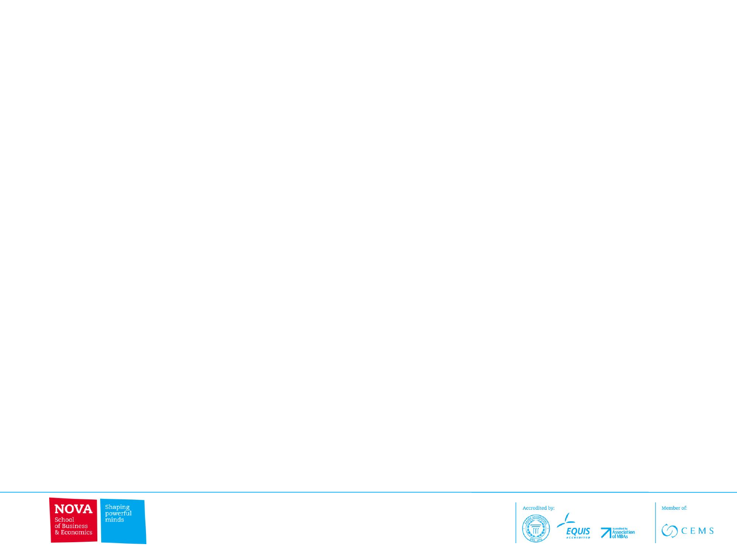